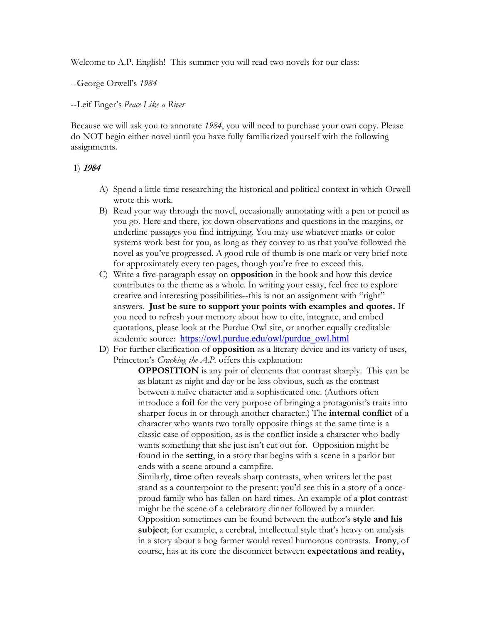Welcome to A.P. English! This summer you will read two novels for our class:

## --George Orwell's *1984*

#### --Leif Enger's *Peace Like a River*

Because we will ask you to annotate *1984*, you will need to purchase your own copy. Please do NOT begin either novel until you have fully familiarized yourself with the following assignments.

## 1) **<sup>1984</sup>**

- A) Spend a little time researching the historical and political context in which Orwell wrote this work.
- B) Read your way through the novel, occasionally annotating with a pen or pencil as you go. Here and there, jot down observations and questions in the margins, or underline passages you find intriguing. You may use whatever marks or color systems work best for you, as long as they convey to us that you've followed the novel as you've progressed. A good rule of thumb is one mark or very brief note for approximately every ten pages, though you're free to exceed this.
- C) Write a five-paragraph essay on **opposition** in the book and how this device contributes to the theme as a whole. In writing your essay, feel free to explore creative and interesting possibilities--this is not an assignment with "right" answers. **Just be sure to support your points with examples and quotes.** If you need to refresh your memory about how to cite, integrate, and embed quotations, please look at the Purdue Owl site, or another equally creditable academic source: https://owl.purdue.edu/owl/purdue\_owl.html
- D) For further clarification of **opposition** as a literary device and its variety of uses, Princeton's *Cracking the A.P.* offers this explanation:

**OPPOSITION** is any pair of elements that contrast sharply. This can be as blatant as night and day or be less obvious, such as the contrast between a naïve character and a sophisticated one. (Authors often introduce a **foil** for the very purpose of bringing a protagonist's traits into sharper focus in or through another character.) The **internal conflict** of a character who wants two totally opposite things at the same time is a classic case of opposition, as is the conflict inside a character who badly wants something that she just isn't cut out for. Opposition might be found in the **setting**, in a story that begins with a scene in a parlor but ends with a scene around a campfire.

Similarly, **time** often reveals sharp contrasts, when writers let the past stand as a counterpoint to the present: you'd see this in a story of a onceproud family who has fallen on hard times. An example of a **plot** contrast might be the scene of a celebratory dinner followed by a murder. Opposition sometimes can be found between the author's **style and his subject**; for example, a cerebral, intellectual style that's heavy on analysis in a story about a hog farmer would reveal humorous contrasts. **Irony**, of course, has at its core the disconnect between **expectations and reality,**